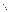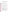## **AGENCY:** ENVIRONMENTAL PROTECTION AGENCY (EPA)

**TITLE:** "TRIBAL TRAINING SUPPORT FOR THE AMERICAN INDIAN AIR QUALITY TRAINING PROGRAM AND TRIBAL AIR MONITORING SUPPORT CENTER"

**ACTION:** Request for Applications (RFA) - Questions and Answers.

**RFA NO:** OAR-IO-05-01

**CATALOG OF FEDERAL DOMESTIC ASSISTANCE (CFDA) NO:** 66.034

- **SUMMARY:** Formal Agency responses to questions/comments regarding the subject solicitation.
- **1. What are the requirements regarding the applications font and margins, and is there a page limit?**

The announcement contains no specifications regarding the applications font, margins, or page limit.

**2. Is this the first time this program has been solicited? If not, when it was it last solicited, how many awards were made, and how much funding was available?**

Yes. This is the first time a competitive selection of recipients will be made under this program.

**3. Are applicants advised to contact the program office prior to submitting an application?**

No. Because this is an open competitive opportunity, in the interest of fairness, we are unable to meet with individual potential applicants to discuss details of the program or proposal development.

Specific questions regarding the solicitation may be submitted, in writing, via postal mail, facsimile, or by using our website. Answers will be posted, bi-weekly, until the closing date of this announcement, to the OAR Grants & Funding webpage located at: http://www.epa.gov/air/grants\_funding.html. *(Refer to Section VII, Agency Contact.)*

## **4. What types of applicants would prove most competitive for this program?**

Each eligible proposal, based on Section III, Eligibility Information, will be evaluated according to the criteria disclosed in the announcement. Proposals that are best able to directly and explicitly address the evaluation criteria will have a greater likelihood of being selected for award.